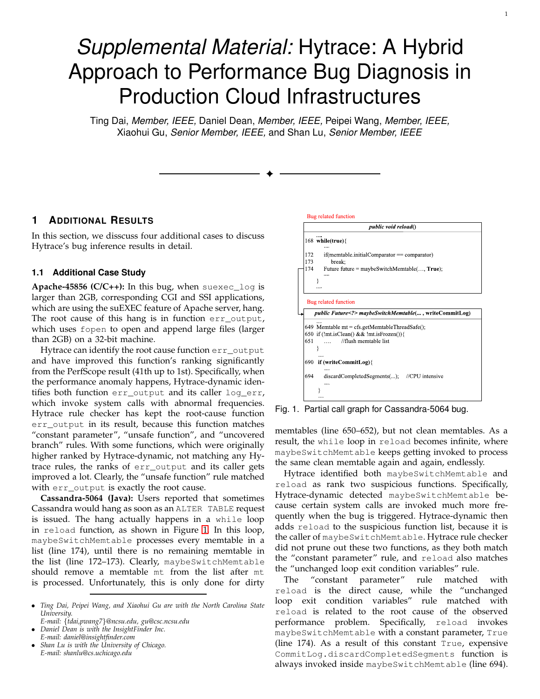## *Supplemental Material:* Hytrace: A Hybrid Approach to Performance Bug Diagnosis in Production Cloud Infrastructures

Ting Dai, *Member, IEEE,* Daniel Dean, *Member, IEEE,* Peipei Wang, *Member, IEEE,* Xiaohui Gu, *Senior Member, IEEE,* and Shan Lu, *Senior Member, IEEE*

✦

## **1 ADDITIONAL RESULTS**

In this section, we disscuss four additional cases to discuss Hytrace's bug inference results in detail.

## **1.1 Additional Case Study**

**Apache-45856 (C/C++):** In this bug, when suexec\_log is larger than 2GB, corresponding CGI and SSI applications, which are using the suEXEC feature of Apache server, hang. The root cause of this hang is in function err\_output, which uses fopen to open and append large files (larger than 2GB) on a 32-bit machine.

Hytrace can identify the root cause function err\_output and have improved this function's ranking significantly from the PerfScope result (41th up to 1st). Specifically, when the performance anomaly happens, Hytrace-dynamic identifies both function err\_output and its caller log\_err, which invoke system calls with abnormal frequencies. Hytrace rule checker has kept the root-cause function err\_output in its result, because this function matches "constant parameter", "unsafe function", and "uncovered branch" rules. With some functions, which were originally higher ranked by Hytrace-dynamic, not matching any Hytrace rules, the ranks of err\_output and its caller gets improved a lot. Clearly, the "unsafe function" rule matched with err\_output is exactly the root cause.

**Cassandra-5064 (Java):** Users reported that sometimes Cassandra would hang as soon as an ALTER TABLE request is issued. The hang actually happens in a while loop in reload function, as shown in Figure [1.](#page-0-0) In this loop, maybeSwitchMemtable processes every memtable in a list (line 174), until there is no remaining memtable in the list (line 172–173). Clearly, maybeSwitchMemtable should remove a memtable mt from the list after mt is processed. Unfortunately, this is only done for dirty

- *Ting Dai, Peipei Wang, and Xiaohui Gu are with the North Carolina State University.*
- *E-mail:* {*tdai,pwang7*}*@ncsu.edu, gu@csc.ncsu.edu*
- *Daniel Dean is with the InsightFinder Inc. E-mail: daniel@insightfinder.com*
- *Shan Lu is with the University of Chicago. E-mail: shanlu@cs.uchicago.edu*



<span id="page-0-0"></span>Fig. 1. Partial call graph for Cassandra-5064 bug.

memtables (line 650–652), but not clean memtables. As a result, the while loop in reload becomes infinite, where maybeSwitchMemtable keeps getting invoked to process the same clean memtable again and again, endlessly.

Hytrace identified both maybeSwitchMemtable and reload as rank two suspicious functions. Specifically, Hytrace-dynamic detected maybeSwitchMemtable because certain system calls are invoked much more frequently when the bug is triggered. Hytrace-dynamic then adds reload to the suspicious function list, because it is the caller of maybeSwitchMemtable. Hytrace rule checker did not prune out these two functions, as they both match the "constant parameter" rule, and reload also matches the "unchanged loop exit condition variables" rule.

The "constant parameter" rule matched reload is the direct cause, while the "unchanged loop exit condition variables" rule matched with reload is related to the root cause of the observed performance problem. Specifically, reload invokes maybeSwitchMemtable with a constant parameter, True (line 174). As a result of this constant True, expensive CommitLog.discardCompletedSegments function is always invoked inside maybeSwitchMemtable (line 694).